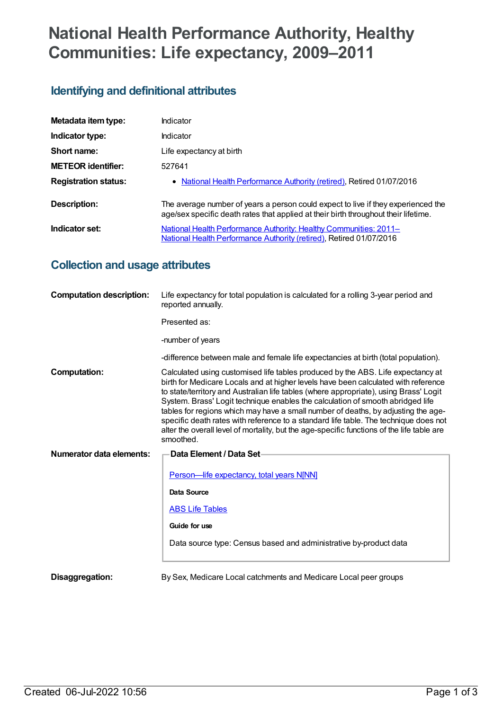# **National Health Performance Authority, Healthy Communities: Life expectancy, 2009–2011**

# **Identifying and definitional attributes**

| Metadata item type:         | Indicator                                                                                                                                                                |
|-----------------------------|--------------------------------------------------------------------------------------------------------------------------------------------------------------------------|
| Indicator type:             | Indicator                                                                                                                                                                |
| Short name:                 | Life expectancy at birth                                                                                                                                                 |
| <b>METEOR</b> identifier:   | 527641                                                                                                                                                                   |
| <b>Registration status:</b> | • National Health Performance Authority (retired), Retired 01/07/2016                                                                                                    |
| Description:                | The average number of years a person could expect to live if they experienced the<br>age/sex specific death rates that applied at their birth throughout their lifetime. |
| Indicator set:              | National Health Performance Authority: Healthy Communities: 2011-<br>National Health Performance Authority (retired), Retired 01/07/2016                                 |

# **Collection and usage attributes**

| <b>Computation description:</b> | Life expectancy for total population is calculated for a rolling 3-year period and<br>reported annually.                                                                                                                                                                                                                                                                                                                                                                                                                                                                                                                                 |
|---------------------------------|------------------------------------------------------------------------------------------------------------------------------------------------------------------------------------------------------------------------------------------------------------------------------------------------------------------------------------------------------------------------------------------------------------------------------------------------------------------------------------------------------------------------------------------------------------------------------------------------------------------------------------------|
|                                 | Presented as:                                                                                                                                                                                                                                                                                                                                                                                                                                                                                                                                                                                                                            |
|                                 | -number of years                                                                                                                                                                                                                                                                                                                                                                                                                                                                                                                                                                                                                         |
|                                 | -difference between male and female life expectancies at birth (total population).                                                                                                                                                                                                                                                                                                                                                                                                                                                                                                                                                       |
| <b>Computation:</b>             | Calculated using customised life tables produced by the ABS. Life expectancy at<br>birth for Medicare Locals and at higher levels have been calculated with reference<br>to state/territory and Australian life tables (where appropriate), using Brass' Logit<br>System. Brass' Logit technique enables the calculation of smooth abridged life<br>tables for regions which may have a small number of deaths, by adjusting the age-<br>specific death rates with reference to a standard life table. The technique does not<br>alter the overall level of mortality, but the age-specific functions of the life table are<br>smoothed. |
| Numerator data elements:        | Data Element / Data Set-                                                                                                                                                                                                                                                                                                                                                                                                                                                                                                                                                                                                                 |
|                                 | Person-life expectancy, total years N[NN]                                                                                                                                                                                                                                                                                                                                                                                                                                                                                                                                                                                                |
|                                 | Data Source                                                                                                                                                                                                                                                                                                                                                                                                                                                                                                                                                                                                                              |
|                                 | <b>ABS Life Tables</b>                                                                                                                                                                                                                                                                                                                                                                                                                                                                                                                                                                                                                   |
|                                 | Guide for use                                                                                                                                                                                                                                                                                                                                                                                                                                                                                                                                                                                                                            |
|                                 | Data source type: Census based and administrative by-product data                                                                                                                                                                                                                                                                                                                                                                                                                                                                                                                                                                        |
| Disaggregation:                 | By Sex, Medicare Local catchments and Medicare Local peer groups                                                                                                                                                                                                                                                                                                                                                                                                                                                                                                                                                                         |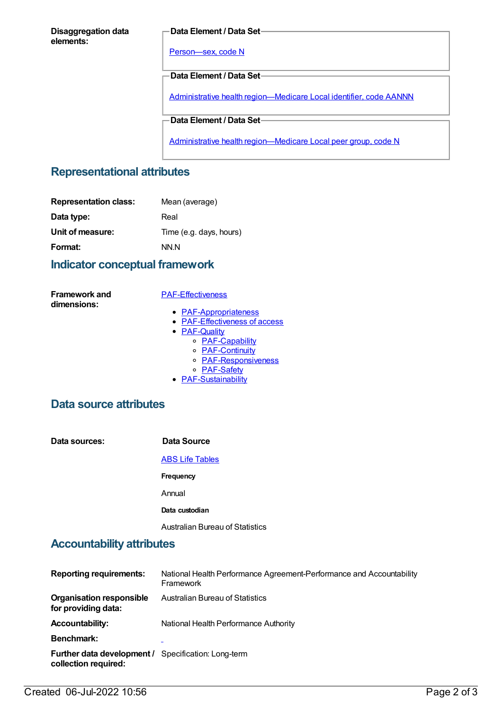#### **Disaggregation data elements:**

#### **Data Element / Data Set**

[Person—sex,](https://meteor.aihw.gov.au/content/287316) code N

**Data Element / Data Set**

Administrative health [region—Medicare](https://meteor.aihw.gov.au/content/513288) Local identifier, code AANNN

**Data Element / Data Set**

Administrative health [region—Medicare](https://meteor.aihw.gov.au/content/550733) Local peer group, code N

## **Representational attributes**

| <b>Representation class:</b> | Mean (average)          |
|------------------------------|-------------------------|
| Data type:                   | Real                    |
| Unit of measure:             | Time (e.g. days, hours) |
| Format:                      | NN.N                    |

## **Indicator conceptual framework**

**Framework and dimensions:**

#### [PAF-Effectiveness](https://meteor.aihw.gov.au/content/554925)

- [PAF-Appropriateness](https://meteor.aihw.gov.au/content/554929)
- **[PAF-Effectiveness](https://meteor.aihw.gov.au/content/554928) of access**
- **[PAF-Quality](https://meteor.aihw.gov.au/content/554930)** 
	- o [PAF-Capability](https://meteor.aihw.gov.au/content/554934)
	- o **[PAF-Continuity](https://meteor.aihw.gov.au/content/554935)**
	- o **[PAF-Responsiveness](https://meteor.aihw.gov.au/content/554933)**
	- o [PAF-Safety](https://meteor.aihw.gov.au/content/554932)
- **[PAF-Sustainability](https://meteor.aihw.gov.au/content/554931)**

## **Data source attributes**

| Data sources: | Data Source                            |
|---------------|----------------------------------------|
|               | <b>ABS Life Tables</b>                 |
|               | Frequency                              |
|               | Annual                                 |
|               | Data custodian                         |
|               | <b>Australian Bureau of Statistics</b> |

## **Accountability attributes**

| <b>Reporting requirements:</b>                                                     | National Health Performance Agreement-Performance and Accountability<br>Framework |
|------------------------------------------------------------------------------------|-----------------------------------------------------------------------------------|
| <b>Organisation responsible</b><br>for providing data:                             | Australian Bureau of Statistics                                                   |
| <b>Accountability:</b>                                                             | National Health Performance Authority                                             |
| Benchmark:                                                                         |                                                                                   |
| <b>Further data development / Specification: Long-term</b><br>collection required: |                                                                                   |